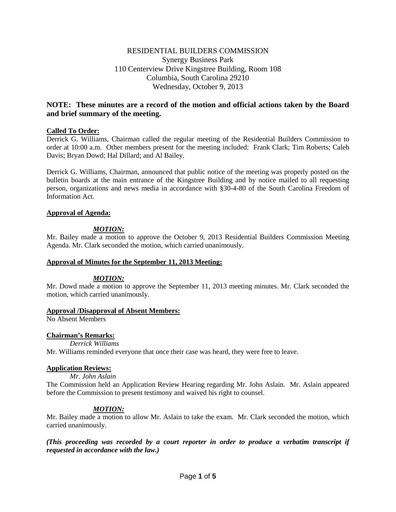# RESIDENTIAL BUILDERS COMMISSION Synergy Business Park 110 Centerview Drive Kingstree Building, Room 108 Columbia, South Carolina 29210 Wednesday, October 9, 2013

# **NOTE: These minutes are a record of the motion and official actions taken by the Board and brief summary of the meeting.**

## **Called To Order:**

Derrick G. Williams, Chairman called the regular meeting of the Residential Builders Commission to order at 10:00 a.m. Other members present for the meeting included: Frank Clark; Tim Roberts; Caleb Davis; Bryan Dowd; Hal Dillard; and Al Bailey.

Derrick G. Williams, Chairman, announced that public notice of the meeting was properly posted on the bulletin boards at the main entrance of the Kingstree Building and by notice mailed to all requesting person, organizations and news media in accordance with §30-4-80 of the South Carolina Freedom of Information Act.

## **Approval of Agenda:**

# *MOTION:*

Mr. Bailey made a motion to approve the October 9, 2013 Residential Builders Commission Meeting Agenda. Mr. Clark seconded the motion, which carried unanimously.

## **Approval of Minutes for the September 11, 2013 Meeting:**

## *MOTION:*

Mr. Dowd made a motion to approve the September 11, 2013 meeting minutes. Mr. Clark seconded the motion, which carried unanimously.

## **Approval /Disapproval of Absent Members:**

No Absent Members

## **Chairman's Remarks:**

*Derrick Williams*

Mr. Williams reminded everyone that once their case was heard, they were free to leave.

## **Application Reviews:**

## *Mr. John Aslain*

The Commission held an Application Review Hearing regarding Mr. John Aslain. Mr. Aslain appeared before the Commission to present testimony and waived his right to counsel.

# *MOTION:*

Mr. Bailey made a motion to allow Mr. Aslain to take the exam. Mr. Clark seconded the motion, which carried unanimously.

*(This proceeding was recorded by a court reporter in order to produce a verbatim transcript if requested in accordance with the law.)*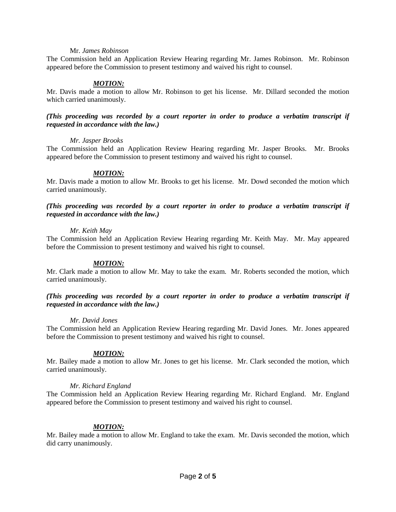### Mr. *James Robinson*

The Commission held an Application Review Hearing regarding Mr. James Robinson. Mr. Robinson appeared before the Commission to present testimony and waived his right to counsel.

## *MOTION:*

Mr. Davis made a motion to allow Mr. Robinson to get his license. Mr. Dillard seconded the motion which carried unanimously.

## *(This proceeding was recorded by a court reporter in order to produce a verbatim transcript if requested in accordance with the law.)*

### *Mr. Jasper Brooks*

The Commission held an Application Review Hearing regarding Mr. Jasper Brooks. Mr. Brooks appeared before the Commission to present testimony and waived his right to counsel.

## *MOTION:*

Mr. Davis made a motion to allow Mr. Brooks to get his license. Mr. Dowd seconded the motion which carried unanimously.

## *(This proceeding was recorded by a court reporter in order to produce a verbatim transcript if requested in accordance with the law.)*

### *Mr. Keith May*

The Commission held an Application Review Hearing regarding Mr. Keith May. Mr. May appeared before the Commission to present testimony and waived his right to counsel.

## *MOTION:*

Mr. Clark made a motion to allow Mr. May to take the exam. Mr. Roberts seconded the motion, which carried unanimously.

### *(This proceeding was recorded by a court reporter in order to produce a verbatim transcript if requested in accordance with the law.)*

#### *Mr. David Jones*

The Commission held an Application Review Hearing regarding Mr. David Jones. Mr. Jones appeared before the Commission to present testimony and waived his right to counsel.

## *MOTION:*

Mr. Bailey made a motion to allow Mr. Jones to get his license. Mr. Clark seconded the motion, which carried unanimously.

## *Mr. Richard England*

The Commission held an Application Review Hearing regarding Mr. Richard England. Mr. England appeared before the Commission to present testimony and waived his right to counsel.

## *MOTION:*

Mr. Bailey made a motion to allow Mr. England to take the exam. Mr. Davis seconded the motion, which did carry unanimously.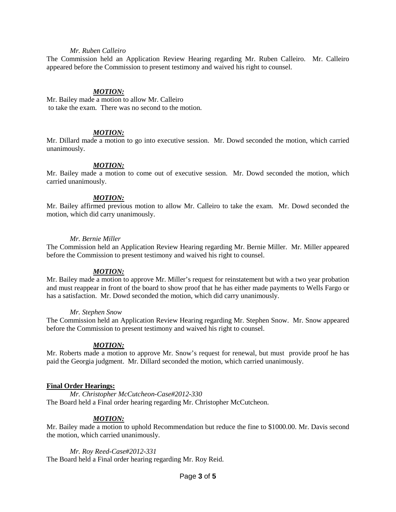### *Mr. Ruben Calleiro*

The Commission held an Application Review Hearing regarding Mr. Ruben Calleiro. Mr. Calleiro appeared before the Commission to present testimony and waived his right to counsel.

#### *MOTION:*

Mr. Bailey made a motion to allow Mr. Calleiro to take the exam. There was no second to the motion.

#### *MOTION:*

Mr. Dillard made a motion to go into executive session. Mr. Dowd seconded the motion, which carried unanimously.

#### *MOTION:*

Mr. Bailey made a motion to come out of executive session. Mr. Dowd seconded the motion, which carried unanimously.

### *MOTION:*

Mr. Bailey affirmed previous motion to allow Mr. Calleiro to take the exam. Mr. Dowd seconded the motion, which did carry unanimously.

### *Mr. Bernie Miller*

The Commission held an Application Review Hearing regarding Mr. Bernie Miller. Mr. Miller appeared before the Commission to present testimony and waived his right to counsel.

#### *MOTION:*

Mr. Bailey made a motion to approve Mr. Miller's request for reinstatement but with a two year probation and must reappear in front of the board to show proof that he has either made payments to Wells Fargo or has a satisfaction. Mr. Dowd seconded the motion, which did carry unanimously.

#### *Mr. Stephen Snow*

The Commission held an Application Review Hearing regarding Mr. Stephen Snow. Mr. Snow appeared before the Commission to present testimony and waived his right to counsel.

#### *MOTION:*

Mr. Roberts made a motion to approve Mr. Snow's request for renewal, but must provide proof he has paid the Georgia judgment. Mr. Dillard seconded the motion, which carried unanimously.

#### **Final Order Hearings:**

*Mr. Christopher McCutcheon-Case#2012-330* The Board held a Final order hearing regarding Mr. Christopher McCutcheon.

#### *MOTION:*

Mr. Bailey made a motion to uphold Recommendation but reduce the fine to \$1000.00. Mr. Davis second the motion, which carried unanimously.

*Mr. Roy Reed-Case#2012-331* The Board held a Final order hearing regarding Mr. Roy Reid.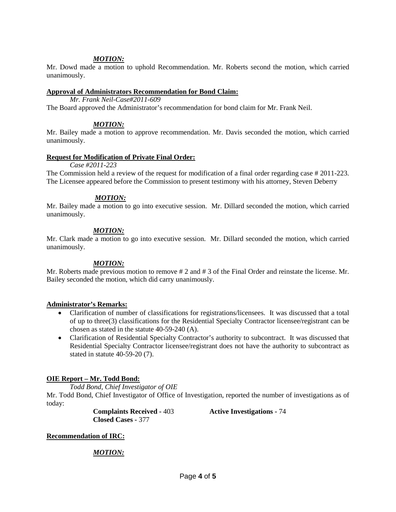## *MOTION:*

Mr. Dowd made a motion to uphold Recommendation. Mr. Roberts second the motion, which carried unanimously.

### **Approval of Administrators Recommendation for Bond Claim:**

*Mr. Frank Neil-Case#2011-609*

The Board approved the Administrator's recommendation for bond claim for Mr. Frank Neil.

## *MOTION:*

Mr. Bailey made a motion to approve recommendation. Mr. Davis seconded the motion, which carried unanimously.

## **Request for Modification of Private Final Order:**

*Case #2011-223*

The Commission held a review of the request for modification of a final order regarding case # 2011-223. The Licensee appeared before the Commission to present testimony with his attorney, Steven Deberry

## *MOTION:*

Mr. Bailey made a motion to go into executive session. Mr. Dillard seconded the motion, which carried unanimously.

## *MOTION:*

Mr. Clark made a motion to go into executive session. Mr. Dillard seconded the motion, which carried unanimously.

# *MOTION:*

Mr. Roberts made previous motion to remove # 2 and # 3 of the Final Order and reinstate the license. Mr. Bailey seconded the motion, which did carry unanimously.

## **Administrator's Remarks:**

- Clarification of number of classifications for registrations/licensees. It was discussed that a total of up to three(3) classifications for the Residential Specialty Contractor licensee/registrant can be chosen as stated in the statute 40-59-240 (A).
- Clarification of Residential Specialty Contractor's authority to subcontract. It was discussed that Residential Specialty Contractor licensee/registrant does not have the authority to subcontract as stated in statute 40-59-20 (7).

# **OIE Report – Mr. Todd Bond:**

*Todd Bond, Chief Investigator of OIE*

Mr. Todd Bond, Chief Investigator of Office of Investigation, reported the number of investigations as of today:

> **Complaints Received -** 403 **Active Investigations -** 74 **Closed Cases -** 377

**Recommendation of IRC:**

# *MOTION:*